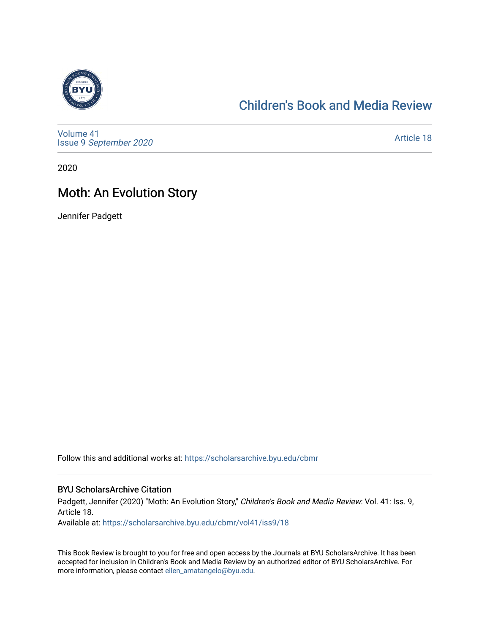

## [Children's Book and Media Review](https://scholarsarchive.byu.edu/cbmr)

[Volume 41](https://scholarsarchive.byu.edu/cbmr/vol41) Issue 9 [September 2020](https://scholarsarchive.byu.edu/cbmr/vol41/iss9) 

[Article 18](https://scholarsarchive.byu.edu/cbmr/vol41/iss9/18) 

2020

## Moth: An Evolution Story

Jennifer Padgett

Follow this and additional works at: [https://scholarsarchive.byu.edu/cbmr](https://scholarsarchive.byu.edu/cbmr?utm_source=scholarsarchive.byu.edu%2Fcbmr%2Fvol41%2Fiss9%2F18&utm_medium=PDF&utm_campaign=PDFCoverPages) 

#### BYU ScholarsArchive Citation

Padgett, Jennifer (2020) "Moth: An Evolution Story," Children's Book and Media Review: Vol. 41: Iss. 9, Article 18.

Available at: [https://scholarsarchive.byu.edu/cbmr/vol41/iss9/18](https://scholarsarchive.byu.edu/cbmr/vol41/iss9/18?utm_source=scholarsarchive.byu.edu%2Fcbmr%2Fvol41%2Fiss9%2F18&utm_medium=PDF&utm_campaign=PDFCoverPages)

This Book Review is brought to you for free and open access by the Journals at BYU ScholarsArchive. It has been accepted for inclusion in Children's Book and Media Review by an authorized editor of BYU ScholarsArchive. For more information, please contact [ellen\\_amatangelo@byu.edu.](mailto:ellen_amatangelo@byu.edu)